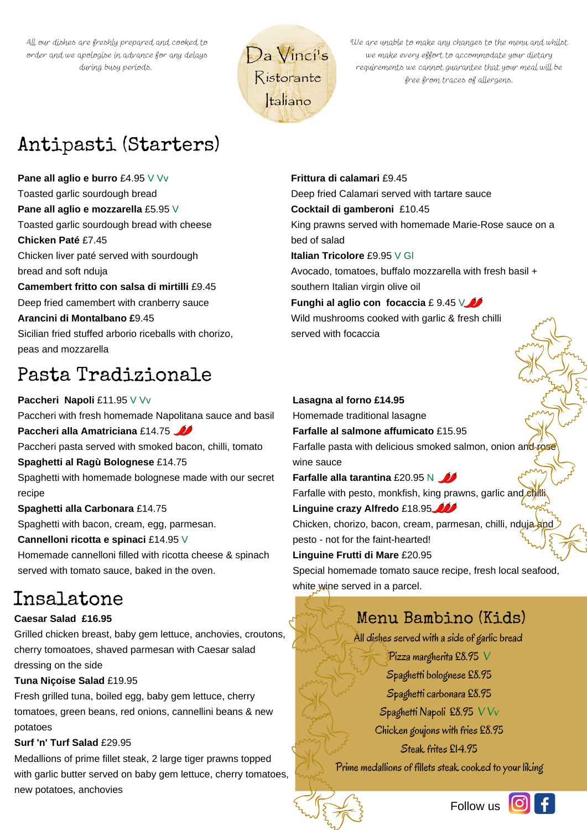All our dishes are freshly prepared and cooked to order and we apologise in advance for any delays during busy periods.



We are unable to make any changes to the menu and whilst we make every effort to accommodate your dietary requirements we cannot guarantee that your meal will be free from traces of allergens.

# Antipasti (Starters)

**Pane all aglio e burro** £4.95 V Vv Toasted garlic sourdough bread **Pane all aglio e mozzarella** £5.95 V Toasted garlic sourdough bread with cheese **Chicken Paté** £7.45 Chicken liver paté served with sourdough bread and soft nduja **Camembert fritto con salsa di mirtilli** £9.45 Deep fried camembert with cranberry sauce **Arancini di Montalbano £**9.45 Sicilian fried stuffed arborio riceballs with chorizo, peas and mozzarella

# Pasta Tradizionale

**Paccheri Napoli** £11.95 V Vv Paccheri with fresh homemade Napolitana sauce and basil **Paccheri alla Amatriciana** £14.75 Paccheri pasta served with smoked bacon, chilli, tomato **Spaghetti al Ragù Bolognese** £14.75 Spaghetti with homemade bolognese made with our secret recipe **Spaghetti alla Carbonara** £14.75 Spaghetti with bacon, cream, egg, parmesan. **Cannelloni ricotta e spinaci** £14.95 V

Homemade cannelloni filled with ricotta cheese & spinach served with tomato sauce, baked in the oven.

# Insalatone

## **Caesar Salad £16.95**

Grilled chicken breast, baby gem lettuce, anchovies, croutons, cherry tomoatoes, shaved parmesan with Caesar salad dressing on the side

## **Tuna Niçoise Salad** £19.95

Fresh grilled tuna, boiled egg, baby gem lettuce, cherry tomatoes, green beans, red onions, cannellini beans & new potatoes

## **Surf 'n' Turf Salad** £29.95

Medallions of prime fillet steak, 2 large tiger prawns topped with garlic butter served on baby gem lettuce, cherry tomatoes, new potatoes, anchovies

**Frittura di calamari** £9.45 Deep fried Calamari served with tartare sauce **Cocktail di gamberoni** £10.45 King prawns served with homemade Marie-Rose sauce on a bed of salad **Italian Tricolore** £9.95 V Gl Avocado, tomatoes, buffalo mozzarella with fresh basil + southern Italian virgin olive oil **Funghi al aglio con focaccia** £ 9.45 V Wild mushrooms cooked with garlic & fresh chilli

served with focaccia

## **Lasagna al forno £14.95**

Homemade traditional lasagne

**Farfalle al salmone affumicato** £15.95 Farfalle pasta with delicious smoked salmon, onion and rose wine sauce

**Farfalle** alla tarantina £20.95 N Farfalle with pesto, monkfish, king prawns, garlic and chilli

**Linguine crazy Alfredo** £18.95

Chicken, chorizo, bacon, cream, parmesan, chilli, nduja and pesto - not for the faint-hearted!

**Linguine Frutti di Mare** £20.95

Special homemade tomato sauce recipe, fresh local seafood, white wine served in a parcel.

## Menu Bambino (Kids)

All dishes served with a side of garlic bread

Pizza margherita £8.95 V Spaghetti bolognese £8.95 Spaghetti carbonara £8.95 Spaghetti Napoli £8.95 V Vv Chicken goujons with fries £8.95 Steak frites £14.95

Prime medallions of fillets steak cooked to your liking